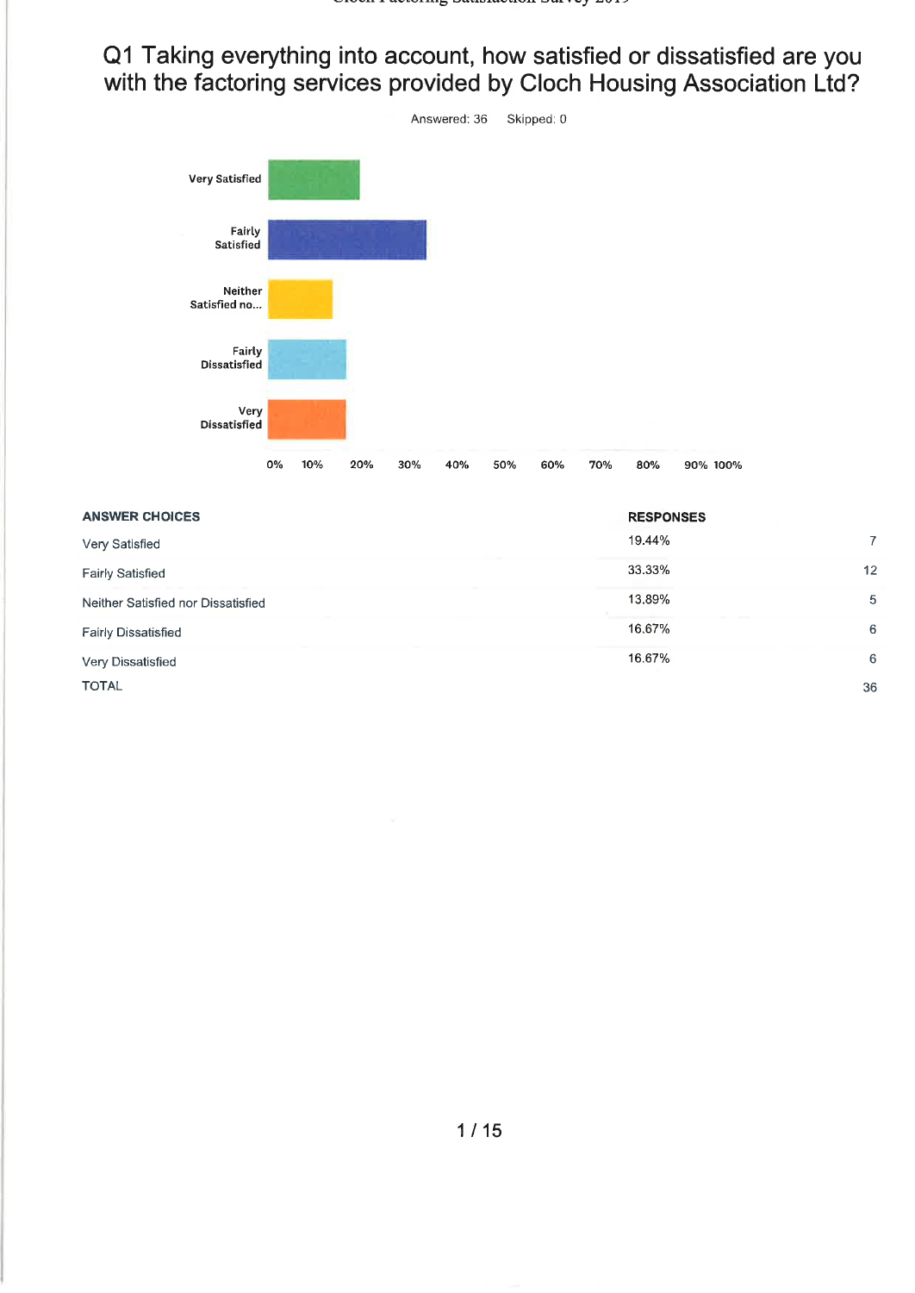Q1 Taking everything into account, how satisfied or dissatisfied are you with the factoring services provided by Cloch Housing Association Ltd?



| <b>ANSWER CHOICES</b>              | <b>RESPONSES</b> |    |
|------------------------------------|------------------|----|
| Very Satisfied                     | 19.44%           | 7  |
| <b>Fairly Satisfied</b>            | 33.33%           | 12 |
| Neither Satisfied nor Dissatisfied | 13.89%           | 5  |
| <b>Fairly Dissatisfied</b>         | 16,67%           | 6  |
| Very Dissatisfied                  | 16.67%           | 6  |
| <b>TOTAL</b>                       |                  | 36 |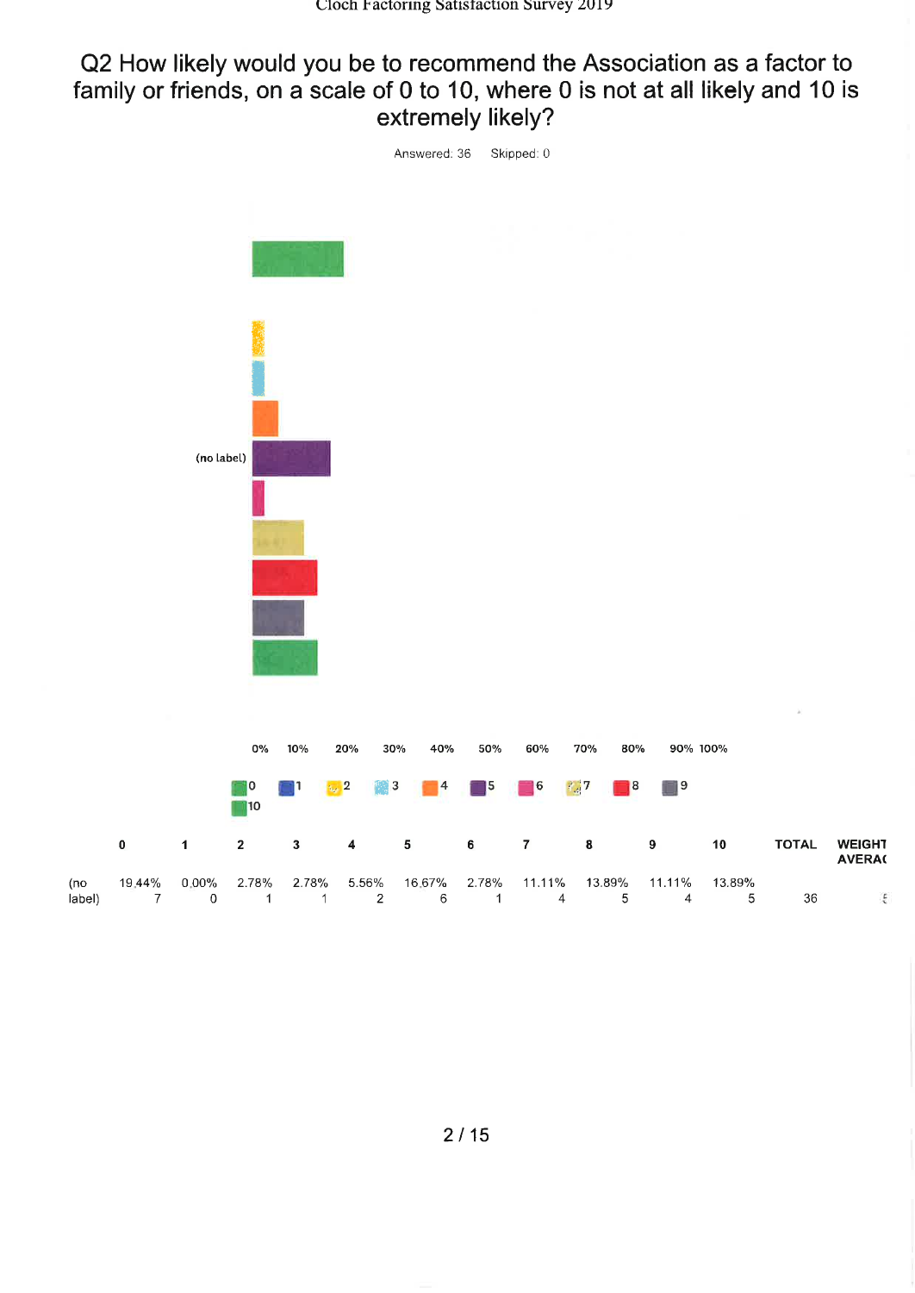#### Q2 How likely would you be to recommend the Association as a factor to family or friends, on a scale of 0 to 10, where 0 is not at all likely and 10 is extremely likely?



 $6\phantom{a}$ 

 $\mathbf{1}$ 

 $\overline{2}$ 

 $\overline{1}$ 

label)

 $\overline{7}$ 

 $\mathbf 0$ 

 $\overline{1}$ 

5

 $\overline{4}$ 

 $\overline{4}$ 

36

 $\overline{5}$ 

 $\frac{p}{\kappa}$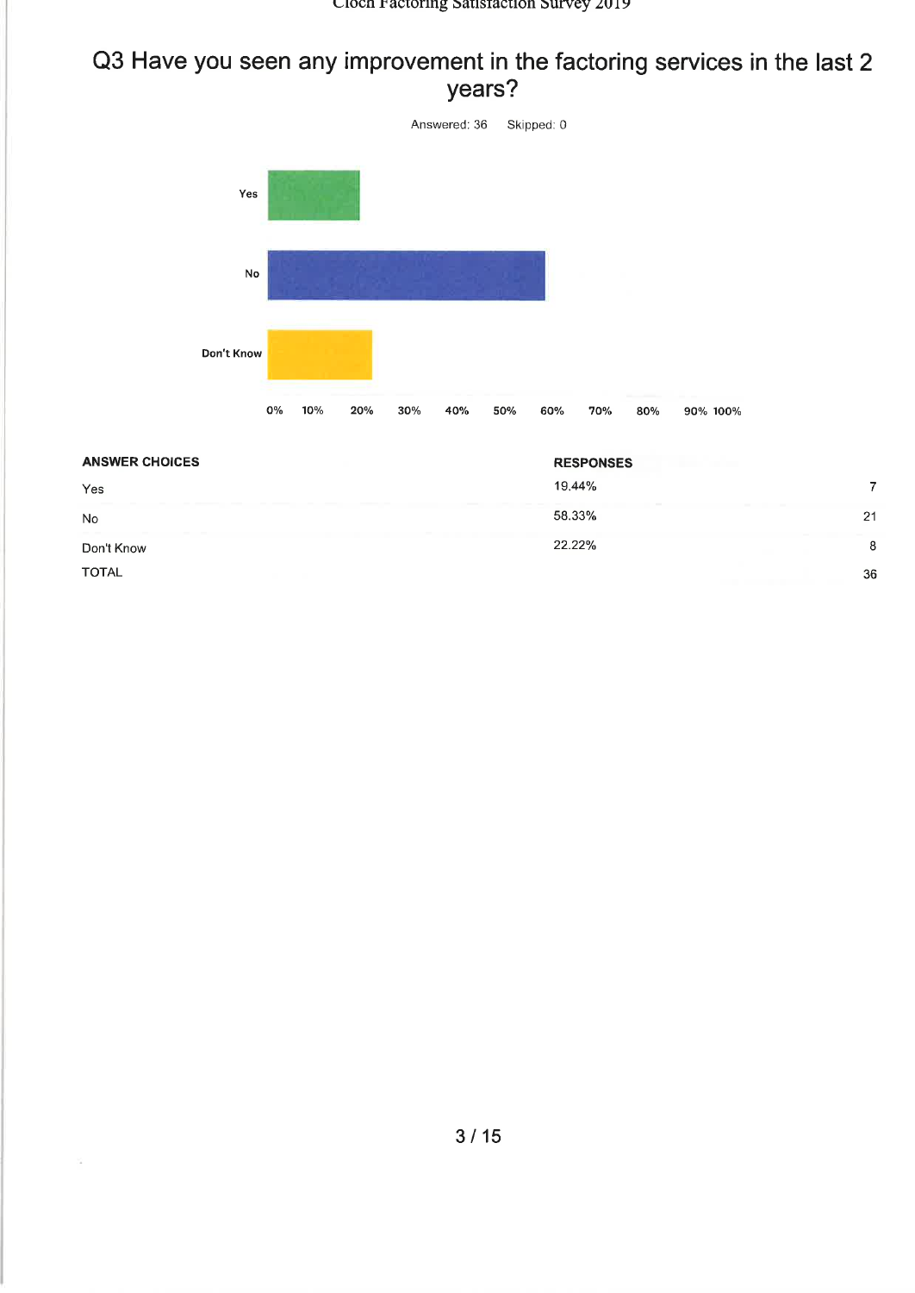#### Cloch Factoring Satisfaction Survey 2019

### Q3 Have you seen any improvement in the factoring services in the last 2 years?



| <b>ANSWER CHOICES</b>   | <b>RESPONSES</b> |    |
|-------------------------|------------------|----|
| Yes                     | 19,44%           |    |
| <b>STATISTICS</b><br>No | 58.33%           | 21 |
| Don't Know              | 22.22%           | 8  |
| <b>TOTAL</b>            |                  | 36 |

 $\frac{1}{2}$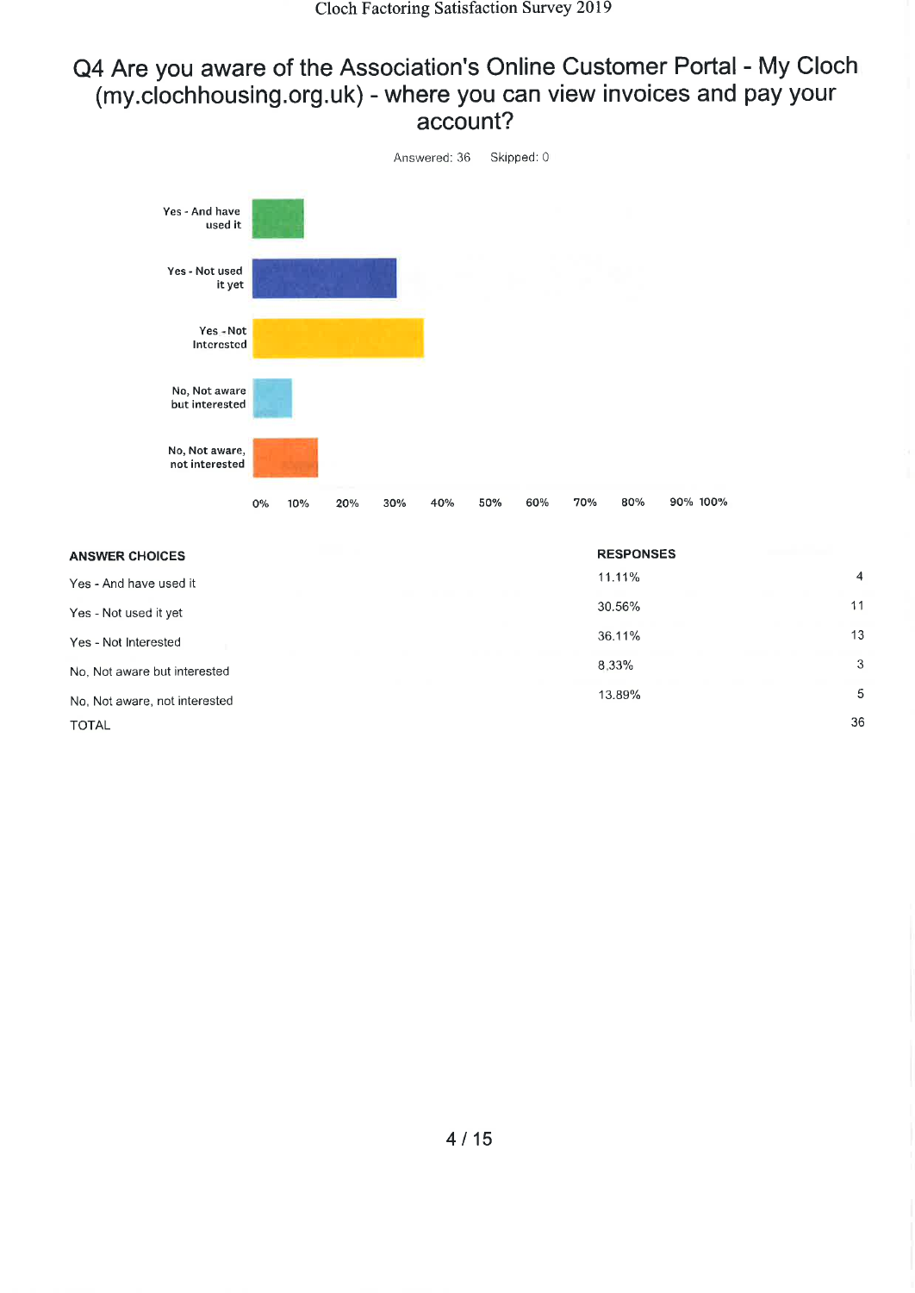#### Q4 Are you aware of the Association's Online Customer Portal - My Cloch (my.clochhousing.org.uk) - where you can view invoices and pay your account?



| <b>ANSWER CHOICES</b>         | <b>RESPONSES</b> |                |
|-------------------------------|------------------|----------------|
| Yes - And have used it        | 11.11%           | $\overline{4}$ |
| Yes - Not used it yet         | 30.56%           | 11             |
| Yes - Not Interested          | 36.11%           | 13             |
| No. Not aware but interested  | 8.33%            | 3              |
| No, Not aware, not interested | 13.89%           | 5              |
| <b>TOTAL</b>                  |                  | 36             |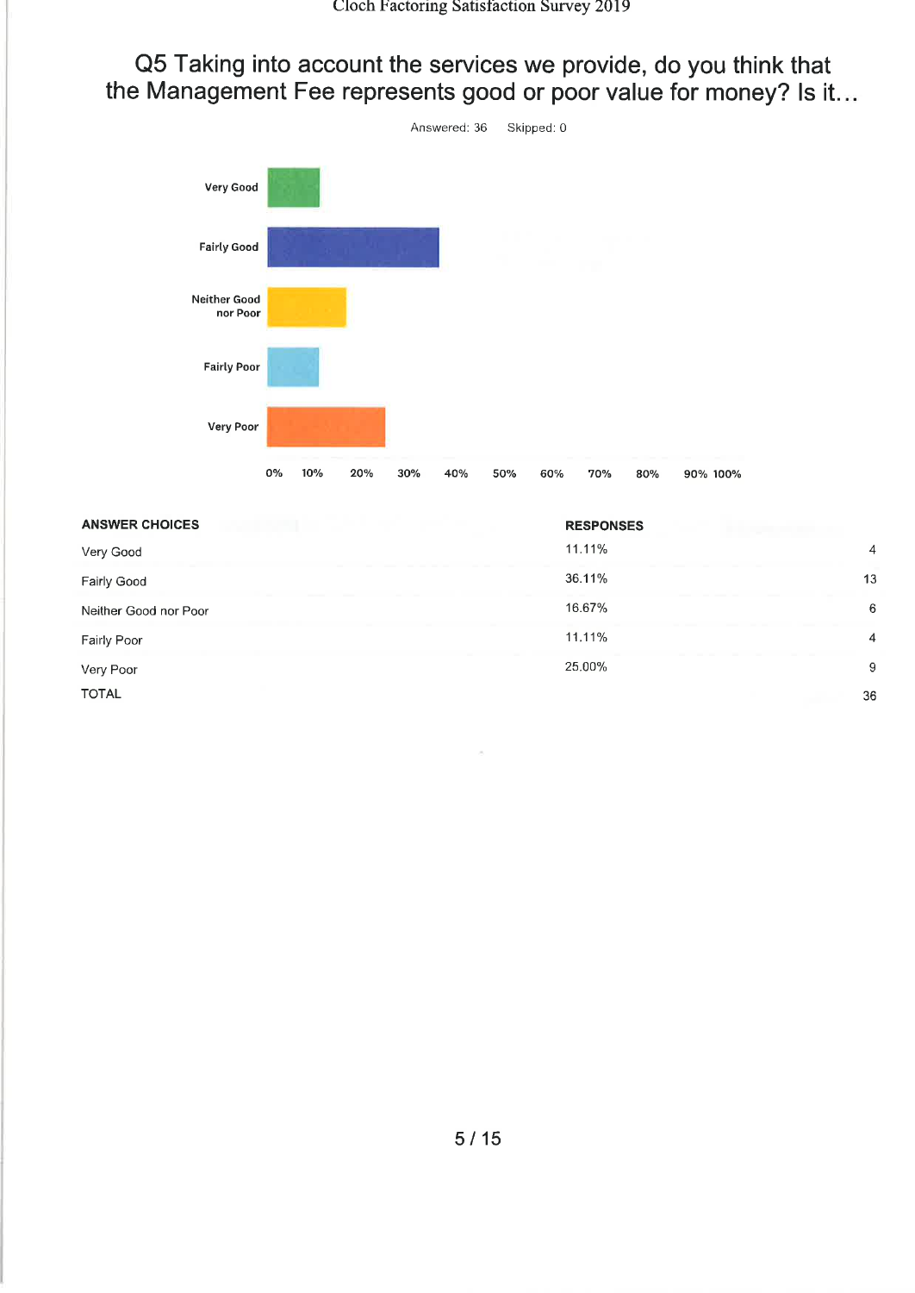Q5 Taking into account the services we provide, do you think that the Management Fee represents good or poor value for money? Is it...



| <b>ANSWER CHOICES</b> | <b>RESPONSES</b>         |
|-----------------------|--------------------------|
| Very Good             | 11.11%<br>$\overline{4}$ |
| Fairly Good           | 36.11%<br>13             |
| Neither Good nor Poor | 16.67%<br>6              |
| Fairly Poor           | 11.11%<br>4              |
| Very Poor             | 25.00%<br>9              |
| <b>TOTAL</b>          | 36                       |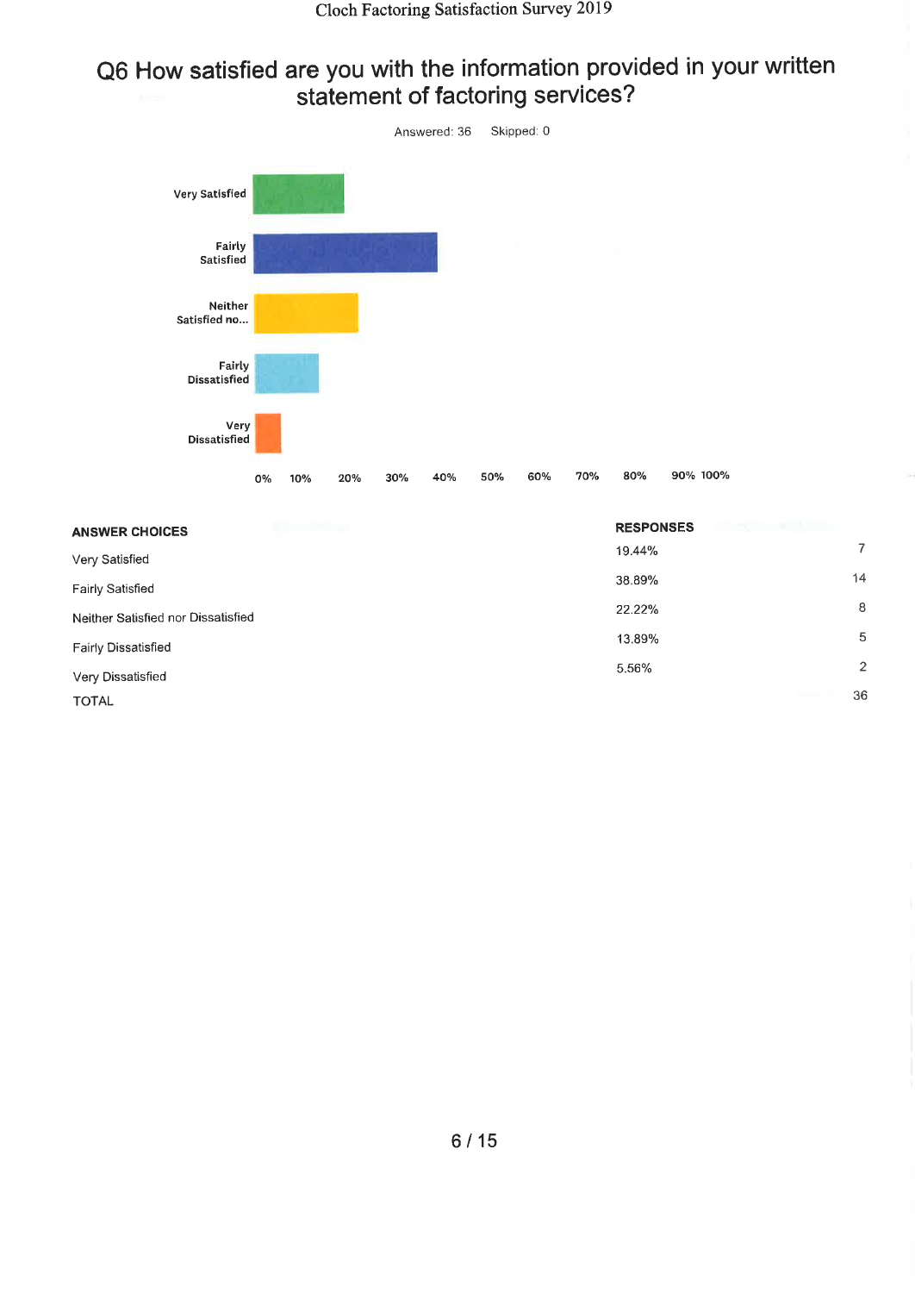## Q6 How satisfied are you with the information provided in your written statement of factoring services?



| <b>RESPONSES</b> |                |
|------------------|----------------|
| 19.44%           | 7              |
| 38.89%           | 14             |
| 22.22%           | 8              |
| 13.89%           | 5              |
| 5.56%            | $\overline{2}$ |
|                  | 36             |
|                  |                |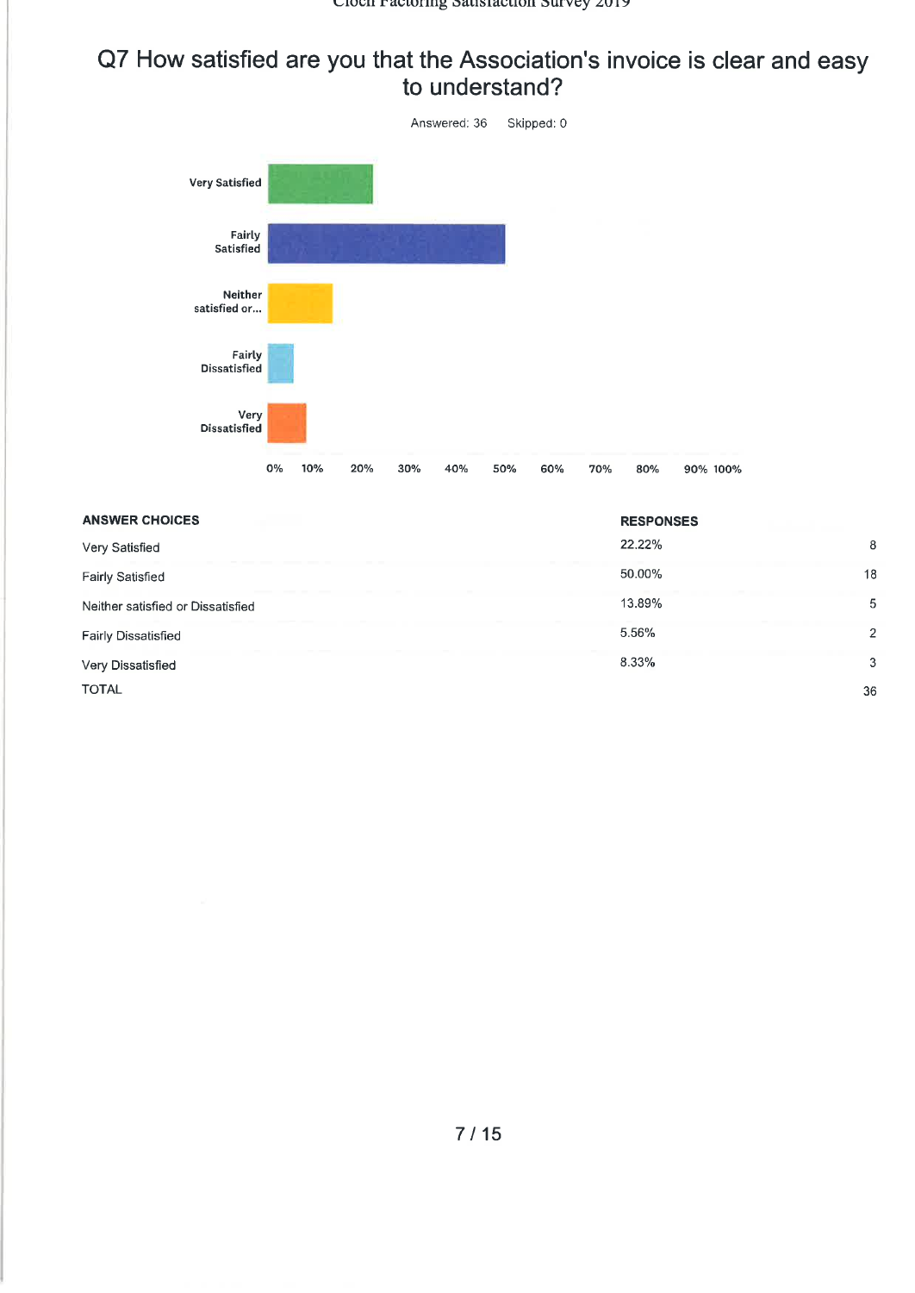#### Q7 How satisfied are you that the Association's invoice is clear and easy to understand?



| <b>ANSWER CHOICES</b>             | <b>RESPONSES</b> |                |
|-----------------------------------|------------------|----------------|
| Very Satisfied                    | 22.22%           | 8              |
| <b>Fairly Satisfied</b>           | 50.00%           | 18             |
| Neither satisfied or Dissatisfied | 13.89%           | 5              |
| <b>Fairly Dissatisfied</b>        | 5.56%            | $\overline{2}$ |
| Very Dissatisfied                 | 8.33%            | 3              |
| <b>TOTAL</b>                      |                  | 36             |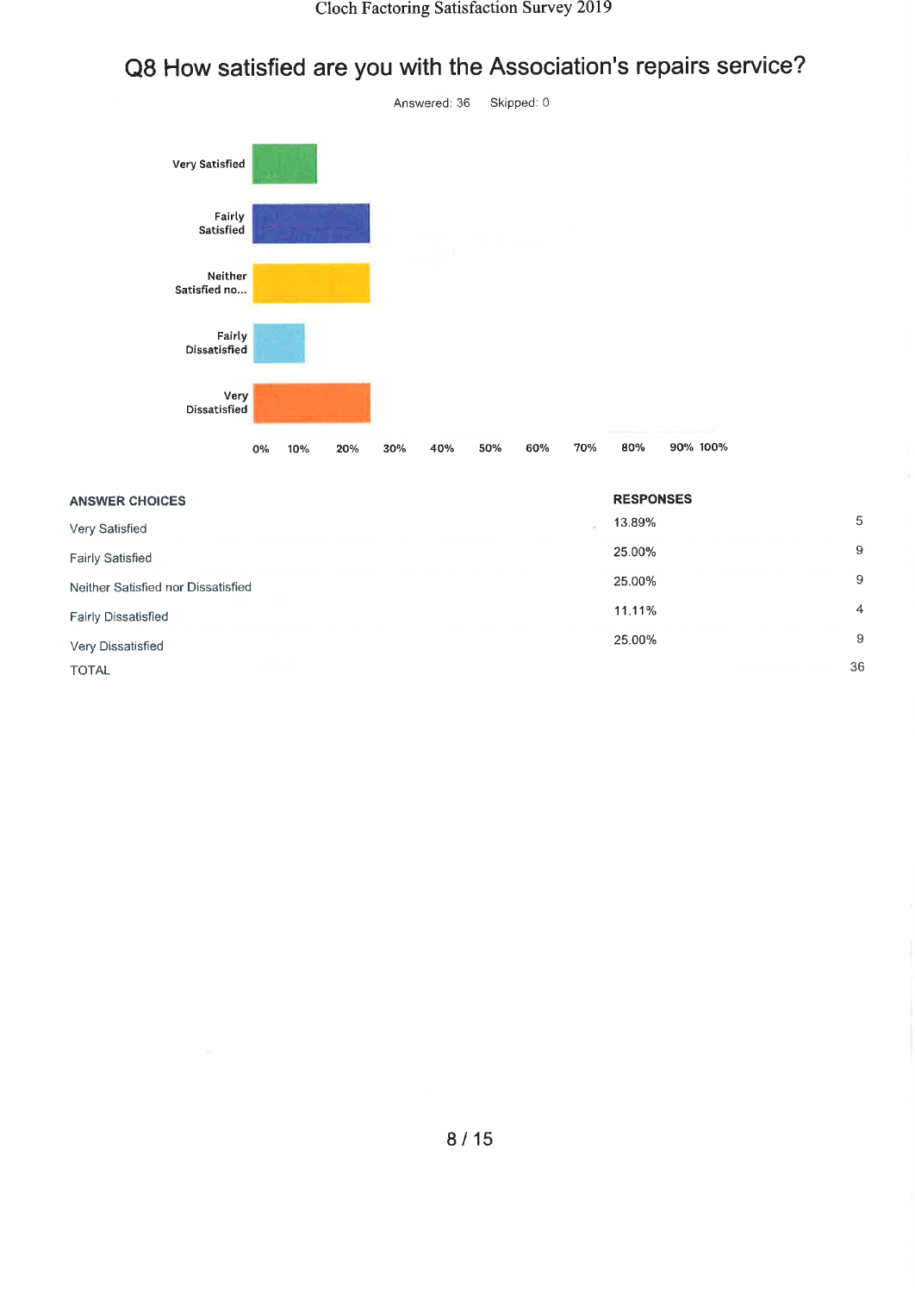# Q8 How satisfied are you with the Association's repairs service?



| <b>ANSWER CHOICES</b>              | <b>RESPONSES</b> |                |
|------------------------------------|------------------|----------------|
| Very Satisfied                     | 13.89%           | 5              |
| <b>Fairly Satisfied</b>            | 25.00%           | 9              |
| Neither Satisfied nor Dissatisfied | 25.00%           | 9              |
| <b>Fairly Dissatisfied</b>         | 11.11%           | $\overline{4}$ |
| Very Dissatisfied                  | 25,00%           | 9              |
| <b>TOTAL</b>                       |                  | 36             |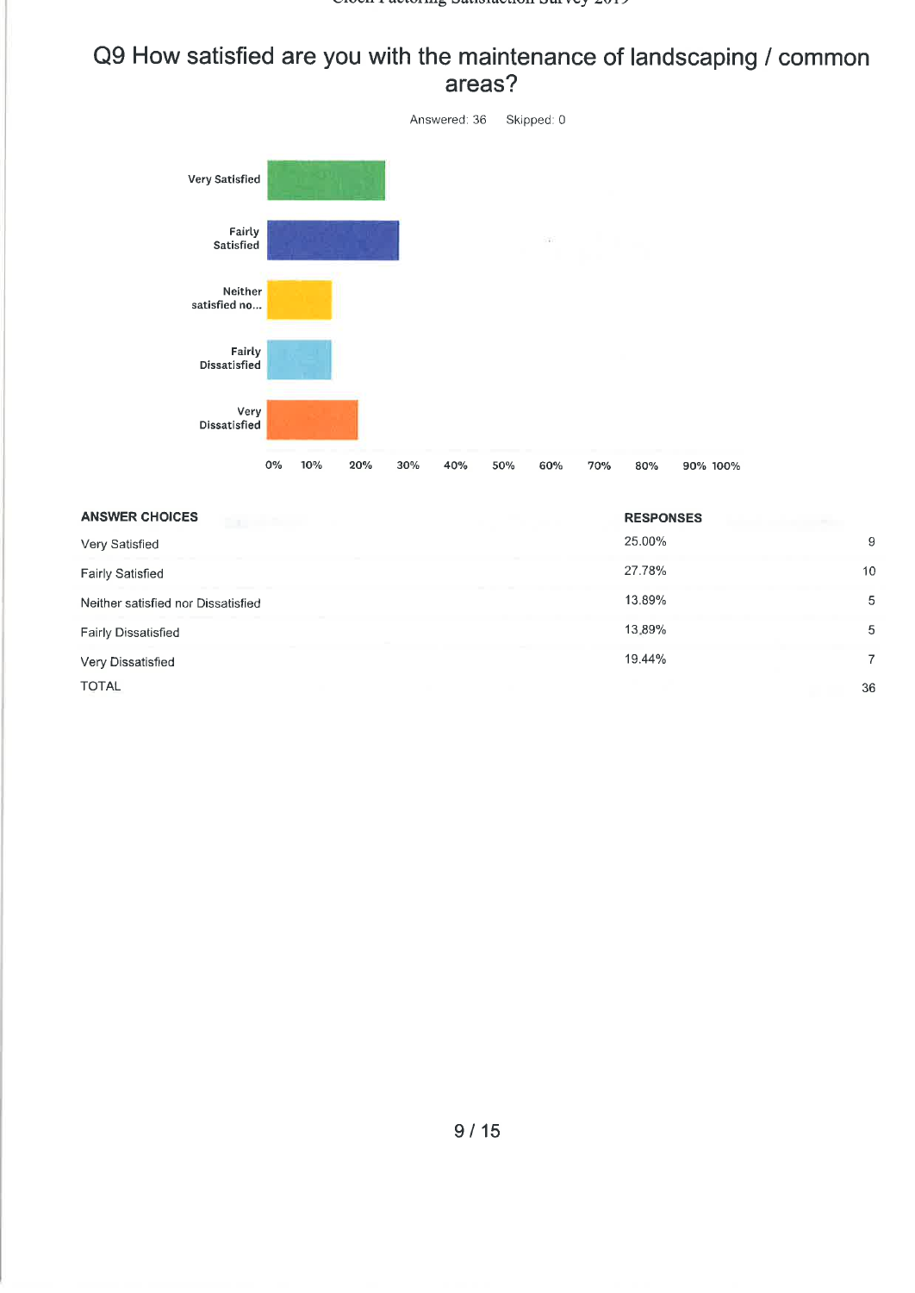#### Q9 How satisfied are you with the maintenance of landscaping / common areas?



| <b>ANSWER CHOICES</b>              | <b>RESPONSES</b> |    |
|------------------------------------|------------------|----|
| Very Satisfied                     | 25.00%           | 9  |
| <b>Fairly Satisfied</b>            | 27.78%           | 10 |
| Neither satisfied nor Dissatisfied | 13.89%           | 5  |
| <b>Fairly Dissatisfied</b>         | 13.89%           | 5  |
| Very Dissatisfied                  | 19.44%           | 7  |
| <b>TOTAL</b>                       |                  | 36 |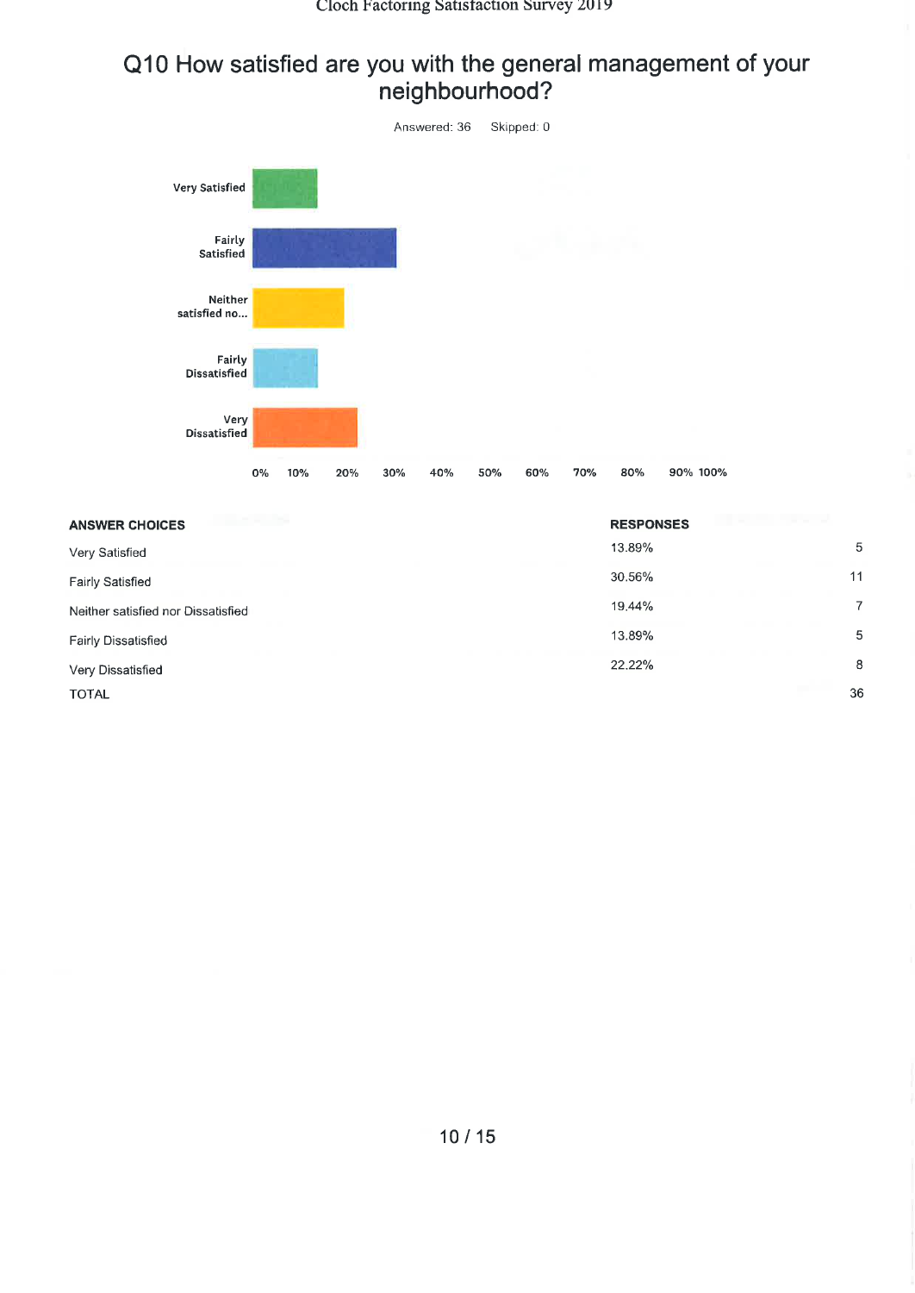#### Q10 How satisfied are you with the general management of your neighbourhood?



| <b>ANSWER CHOICES</b>              | <b>RESPONSES</b> |    |
|------------------------------------|------------------|----|
| Very Satisfied                     | 13.89%           | 5  |
| Fairly Satisfied                   | 30.56%           | 11 |
| Neither satisfied nor Dissatisfied | 19.44%           | 7  |
| Fairly Dissatisfied                | 13.89%           | 5  |
| Very Dissatisfied                  | 22.22%           | 8  |
| <b>TOTAL</b>                       |                  | 36 |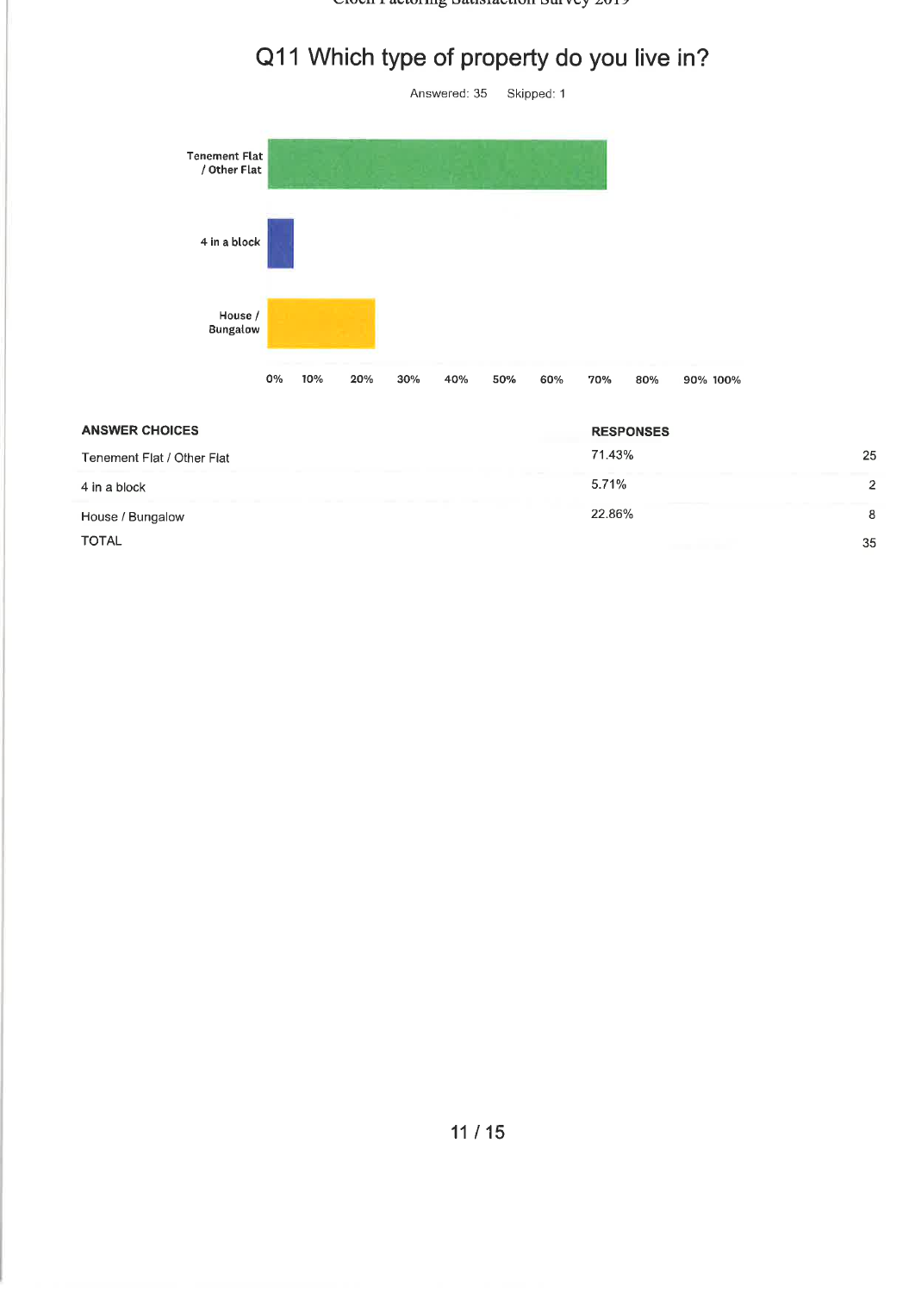Crocil I actoring Bausiaction Burvey 2019

## Q11 Which type of property do you live in?



| <b>ANSWER CHOICES</b>      | <b>RESPONSES</b> |    |
|----------------------------|------------------|----|
| Tenement Flat / Other Flat | 71.43%           | 25 |
| 4 in a block               | 5.71%            |    |
| House / Bungalow           | 22.86%           | 8  |
| <b>TOTAL</b>               |                  | 35 |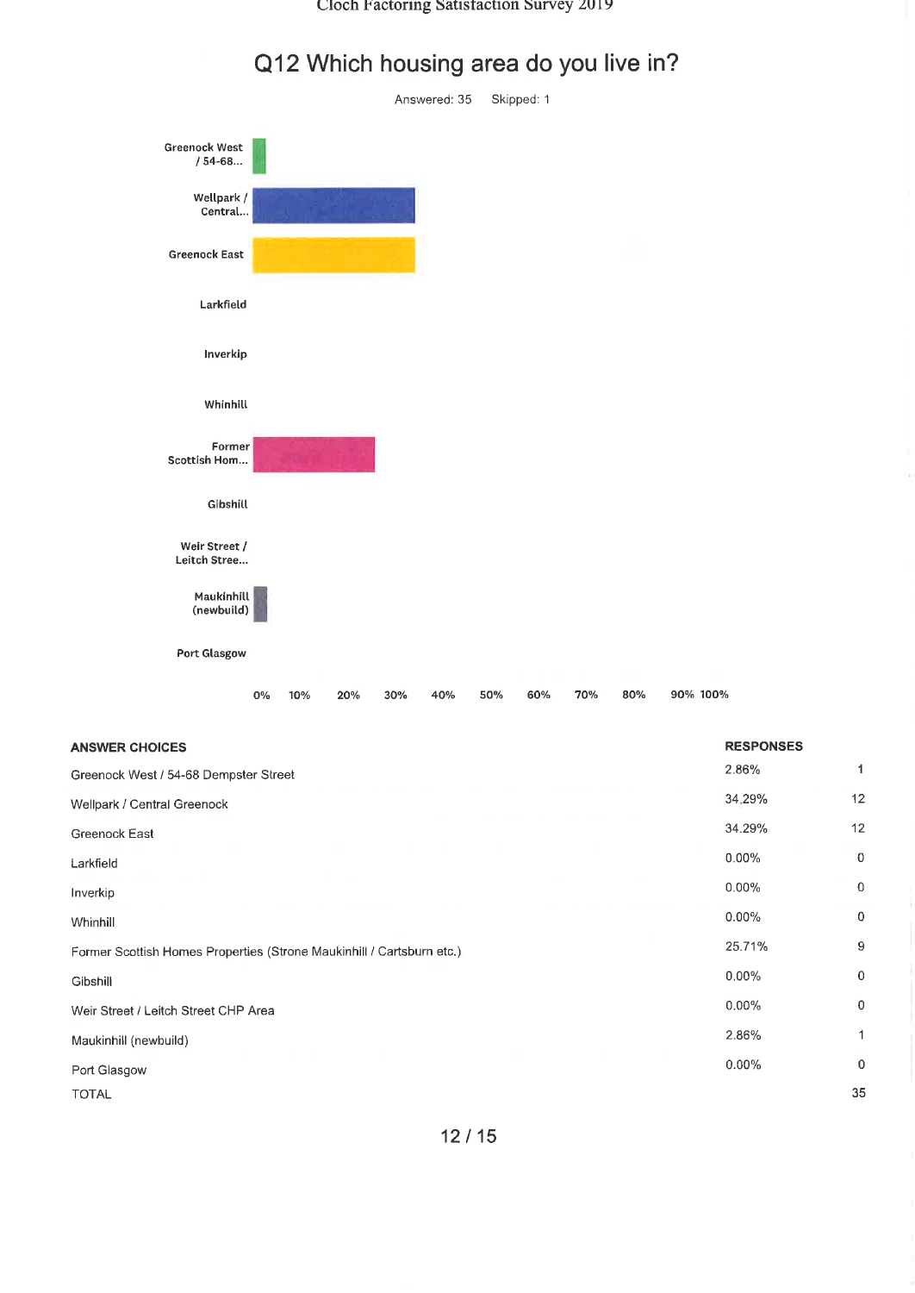#### Cloch Factoring Satisfaction Survey 2019



 $0\%$ 

10%

20%

30%

40%

50%

60%

70%

80%

90% 100%

## Q12 Which housing area do you live in?

ò,

| <b>ANSWER CHOICES</b>                                                 | <b>RESPONSES</b> |                |
|-----------------------------------------------------------------------|------------------|----------------|
| Greenock West / 54-68 Dempster Street                                 | 2.86%            | 1              |
| Wellpark / Central Greenock                                           | 34.29%           | 12             |
| Greenock East                                                         | 34.29%           | 12             |
| Larkfield                                                             | $0.00\%$         | $\overline{0}$ |
| Inverkip                                                              | 0.00%            | $\mathbf{0}$   |
| Whinhill                                                              | $0.00\%$         | $\mathbf 0$    |
| Former Scottish Homes Properties (Strone Maukinhill / Cartsburn etc.) | 25.71%           | 9              |
| Gibshill                                                              | $0.00\%$         | $\mathbf 0$    |
| Weir Street / Leitch Street CHP Area                                  | $0.00\%$         | $\overline{0}$ |
| Maukinhill (newbuild)                                                 | 2.86%            | 1              |
| Port Glasgow                                                          | $0.00\%$         | $\mathbf 0$    |
| <b>TOTAL</b>                                                          |                  | 35             |
|                                                                       |                  |                |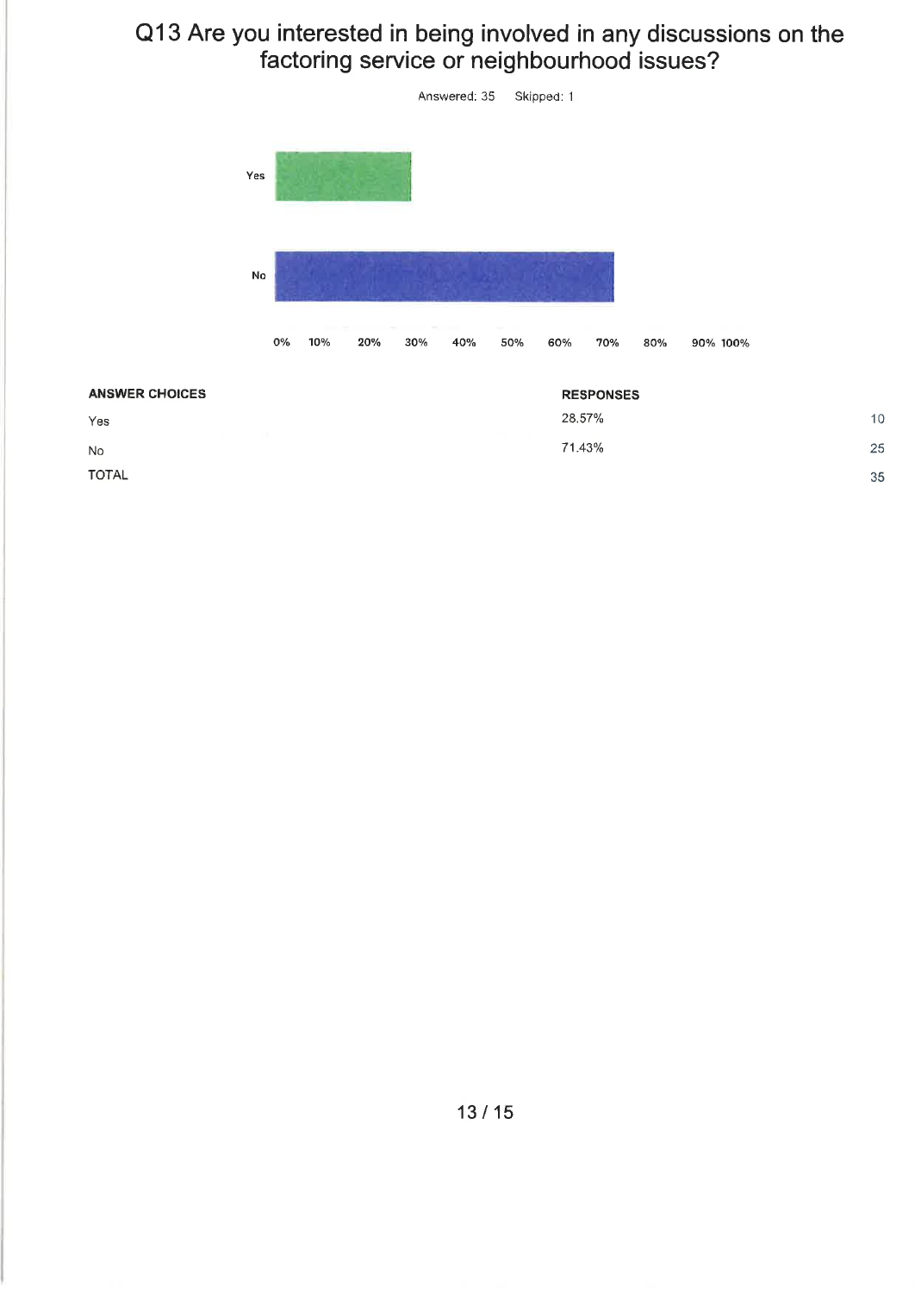### Q13 Are you interested in being involved in any discussions on the factoring service or neighbourhood issues?